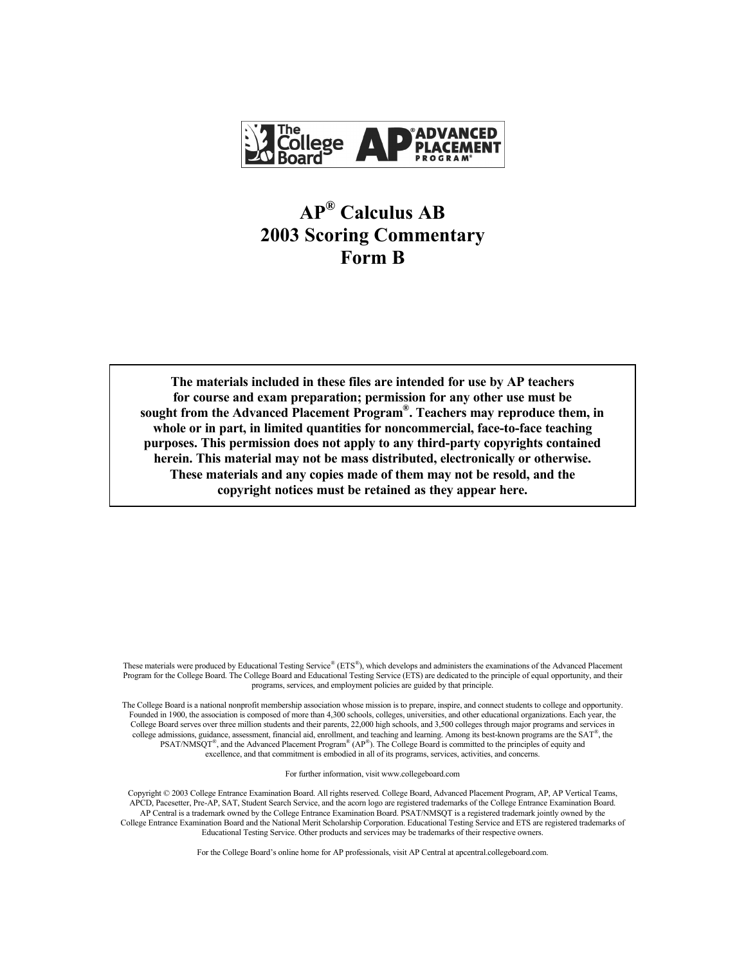

# **AP® Calculus AB 2003 Scoring Commentary Form B**

**The materials included in these files are intended for use by AP teachers for course and exam preparation; permission for any other use must be sought from the Advanced Placement Program®. Teachers may reproduce them, in whole or in part, in limited quantities for noncommercial, face-to-face teaching purposes. This permission does not apply to any third-party copyrights contained herein. This material may not be mass distributed, electronically or otherwise. These materials and any copies made of them may not be resold, and the copyright notices must be retained as they appear here.**

These materials were produced by Educational Testing Service® (ETS®), which develops and administers the examinations of the Advanced Placement Program for the College Board. The College Board and Educational Testing Service (ETS) are dedicated to the principle of equal opportunity, and their programs, services, and employment policies are guided by that principle.

The College Board is a national nonprofit membership association whose mission is to prepare, inspire, and connect students to college and opportunity. Founded in 1900, the association is composed of more than 4,300 schools, colleges, universities, and other educational organizations. Each year, the College Board serves over three million students and their parents, 22,000 high schools, and 3,500 colleges through major programs and services in college admissions, guidance, assessment, financial aid, enrollment, and teaching and learning. Among its best-known programs are the SAT®, the PSAT/NMSQT®, and the Advanced Placement Program® (AP®). The College Board is committed to the principles of equity and excellence, and that commitment is embodied in all of its programs, services, activities, and concerns.

For further information, visit www.collegeboard.com

Copyright © 2003 College Entrance Examination Board. All rights reserved. College Board, Advanced Placement Program, AP, AP Vertical Teams, APCD, Pacesetter, Pre-AP, SAT, Student Search Service, and the acorn logo are registered trademarks of the College Entrance Examination Board. AP Central is a trademark owned by the College Entrance Examination Board. PSAT/NMSQT is a registered trademark jointly owned by the College Entrance Examination Board and the National Merit Scholarship Corporation. Educational Testing Service and ETS are registered trademarks of Educational Testing Service. Other products and services may be trademarks of their respective owners.

For the College Board's online home for AP professionals, visit AP Central at apcentral.collegeboard.com.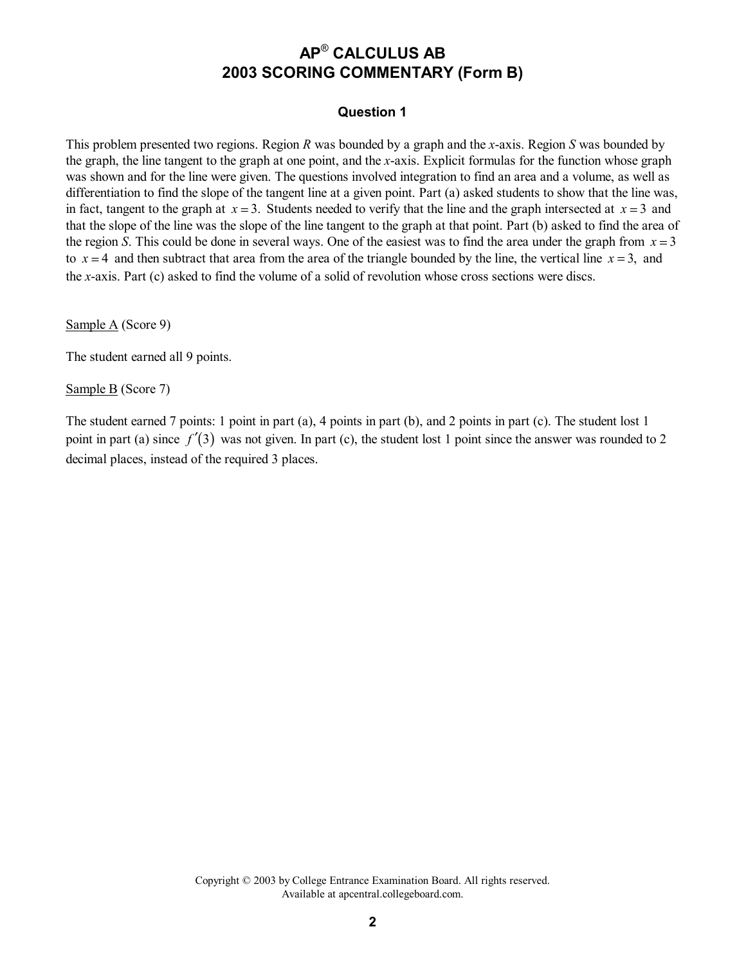### **Question 1**

This problem presented two regions. Region *R* was bounded by a graph and the *x*-axis. Region *S* was bounded by the graph, the line tangent to the graph at one point, and the *x*-axis. Explicit formulas for the function whose graph was shown and for the line were given. The questions involved integration to find an area and a volume, as well as differentiation to find the slope of the tangent line at a given point. Part (a) asked students to show that the line was, in fact, tangent to the graph at  $x = 3$ . Students needed to verify that the line and the graph intersected at  $x = 3$  and that the slope of the line was the slope of the line tangent to the graph at that point. Part (b) asked to find the area of the region *S*. This could be done in several ways. One of the easiest was to find the area under the graph from  $x = 3$ to  $x = 4$  and then subtract that area from the area of the triangle bounded by the line, the vertical line  $x = 3$ , and the *x*-axis. Part (c) asked to find the volume of a solid of revolution whose cross sections were discs.

Sample A (Score 9)

The student earned all 9 points.

Sample B (Score 7)

The student earned 7 points: 1 point in part (a), 4 points in part (b), and 2 points in part (c). The student lost 1 point in part (a) since  $f'(3)$  was not given. In part (c), the student lost 1 point since the answer was rounded to 2 decimal places, instead of the required 3 places.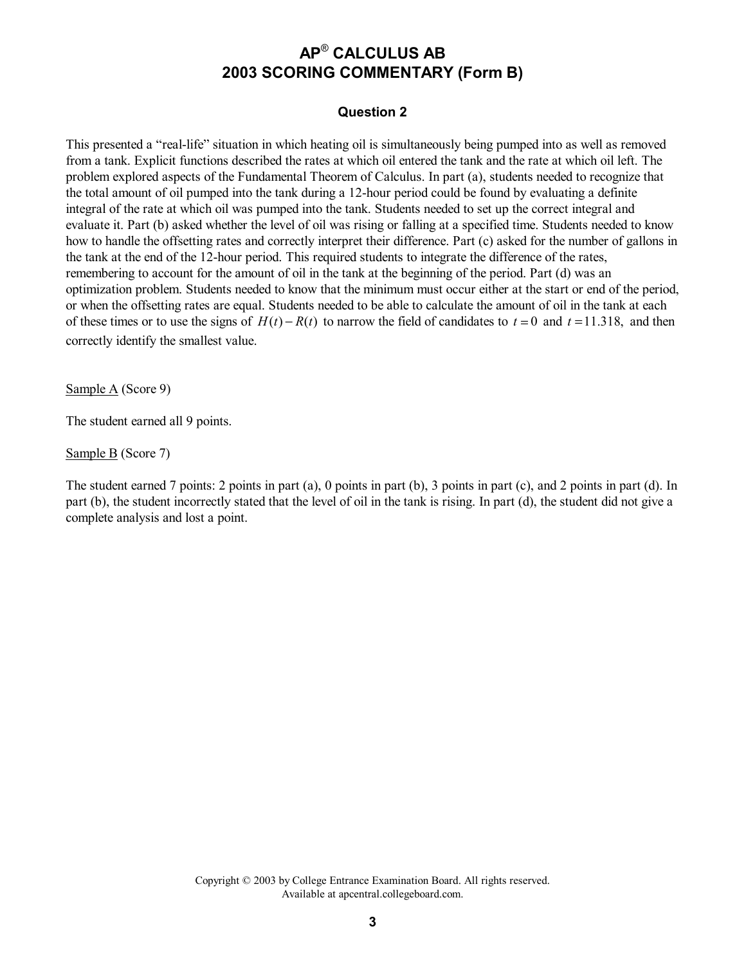### **Question 2**

This presented a "real-life" situation in which heating oil is simultaneously being pumped into as well as removed from a tank. Explicit functions described the rates at which oil entered the tank and the rate at which oil left. The problem explored aspects of the Fundamental Theorem of Calculus. In part (a), students needed to recognize that the total amount of oil pumped into the tank during a 12-hour period could be found by evaluating a definite integral of the rate at which oil was pumped into the tank. Students needed to set up the correct integral and evaluate it. Part (b) asked whether the level of oil was rising or falling at a specified time. Students needed to know how to handle the offsetting rates and correctly interpret their difference. Part (c) asked for the number of gallons in the tank at the end of the 12-hour period. This required students to integrate the difference of the rates, remembering to account for the amount of oil in the tank at the beginning of the period. Part (d) was an optimization problem. Students needed to know that the minimum must occur either at the start or end of the period, or when the offsetting rates are equal. Students needed to be able to calculate the amount of oil in the tank at each of these times or to use the signs of  $H(t) - R(t)$  to narrow the field of candidates to  $t = 0$  and  $t = 11.318$ , and then correctly identify the smallest value.

Sample A (Score 9)

The student earned all 9 points.

Sample B (Score 7)

The student earned 7 points: 2 points in part (a), 0 points in part (b), 3 points in part (c), and 2 points in part (d). In part (b), the student incorrectly stated that the level of oil in the tank is rising. In part (d), the student did not give a complete analysis and lost a point.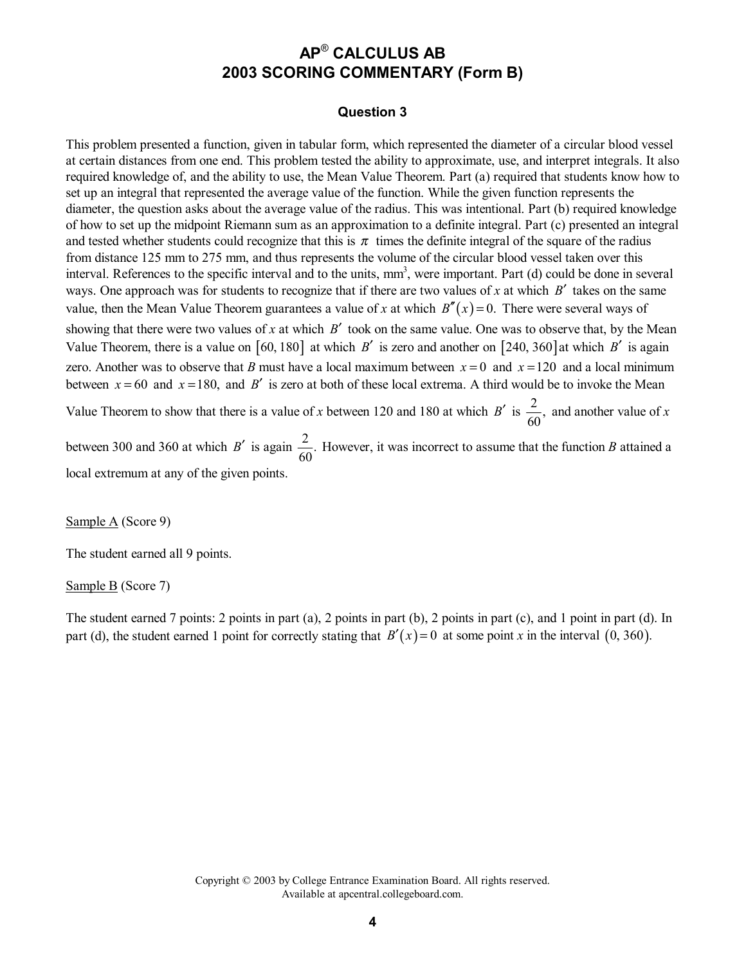#### **Question 3**

This problem presented a function, given in tabular form, which represented the diameter of a circular blood vessel at certain distances from one end. This problem tested the ability to approximate, use, and interpret integrals. It also required knowledge of, and the ability to use, the Mean Value Theorem. Part (a) required that students know how to set up an integral that represented the average value of the function. While the given function represents the diameter, the question asks about the average value of the radius. This was intentional. Part (b) required knowledge of how to set up the midpoint Riemann sum as an approximation to a definite integral. Part (c) presented an integral and tested whether students could recognize that this is  $\pi$  times the definite integral of the square of the radius from distance 125 mm to 275 mm, and thus represents the volume of the circular blood vessel taken over this interval. References to the specific interval and to the units, mm<sup>3</sup>, were important. Part (d) could be done in several ways. One approach was for students to recognize that if there are two values of *x* at which *B*′ takes on the same value, then the Mean Value Theorem guarantees a value of *x* at which  $B''(x) = 0$ . There were several ways of showing that there were two values of *x* at which *B'* took on the same value. One was to observe that, by the Mean Value Theorem, there is a value on  $[60, 180]$  at which *B'* is zero and another on  $[240, 360]$  at which *B'* is again zero. Another was to observe that *B* must have a local maximum between  $x = 0$  and  $x = 120$  and a local minimum between  $x = 60$  and  $x = 180$ , and *B'* is zero at both of these local extrema. A third would be to invoke the Mean

Value Theorem to show that there is a value of *x* between 120 and 180 at which *B'* is  $\frac{2}{60}$ , and another value of *x* 

between 300 and 360 at which *B'* is again  $\frac{2}{60}$ . However, it was incorrect to assume that the function *B* attained a local extremum at any of the given points.

Sample A (Score 9)

The student earned all 9 points.

Sample B (Score 7)

The student earned 7 points: 2 points in part (a), 2 points in part (b), 2 points in part (c), and 1 point in part (d). In part (d), the student earned 1 point for correctly stating that  $B'(x) = 0$  at some point *x* in the interval (0, 360).

> Copyright © 2003 by College Entrance Examination Board. All rights reserved. Available at apcentral.collegeboard.com.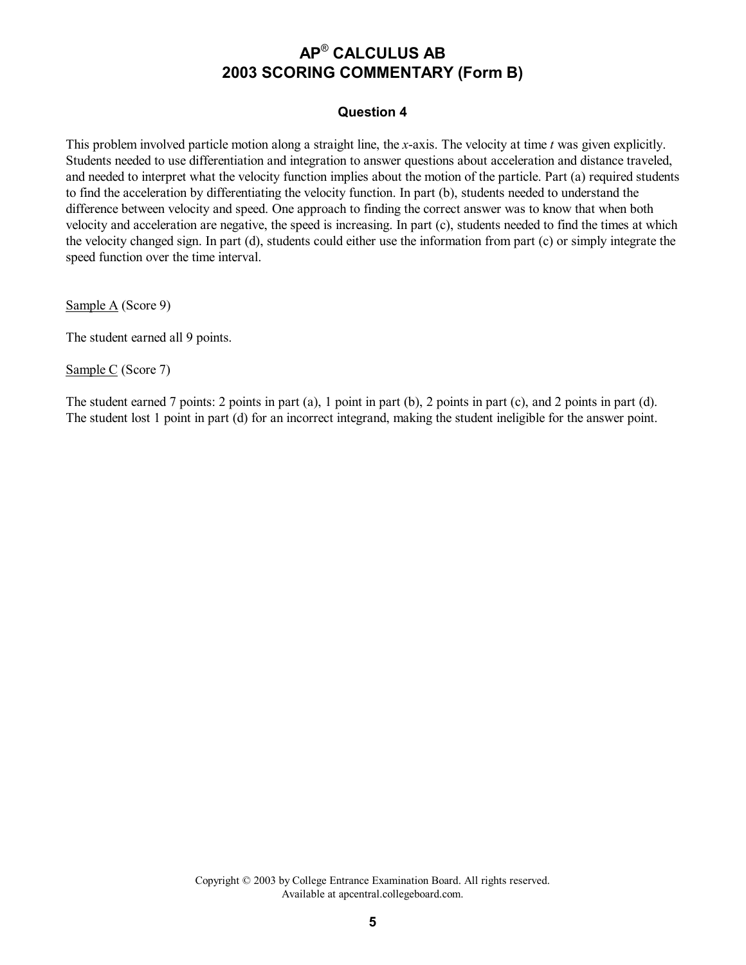### **Question 4**

This problem involved particle motion along a straight line, the *x*-axis. The velocity at time *t* was given explicitly. Students needed to use differentiation and integration to answer questions about acceleration and distance traveled, and needed to interpret what the velocity function implies about the motion of the particle. Part (a) required students to find the acceleration by differentiating the velocity function. In part (b), students needed to understand the difference between velocity and speed. One approach to finding the correct answer was to know that when both velocity and acceleration are negative, the speed is increasing. In part (c), students needed to find the times at which the velocity changed sign. In part (d), students could either use the information from part (c) or simply integrate the speed function over the time interval.

Sample A (Score 9)

The student earned all 9 points.

Sample C (Score 7)

The student earned 7 points: 2 points in part (a), 1 point in part (b), 2 points in part (c), and 2 points in part (d). The student lost 1 point in part (d) for an incorrect integrand, making the student ineligible for the answer point.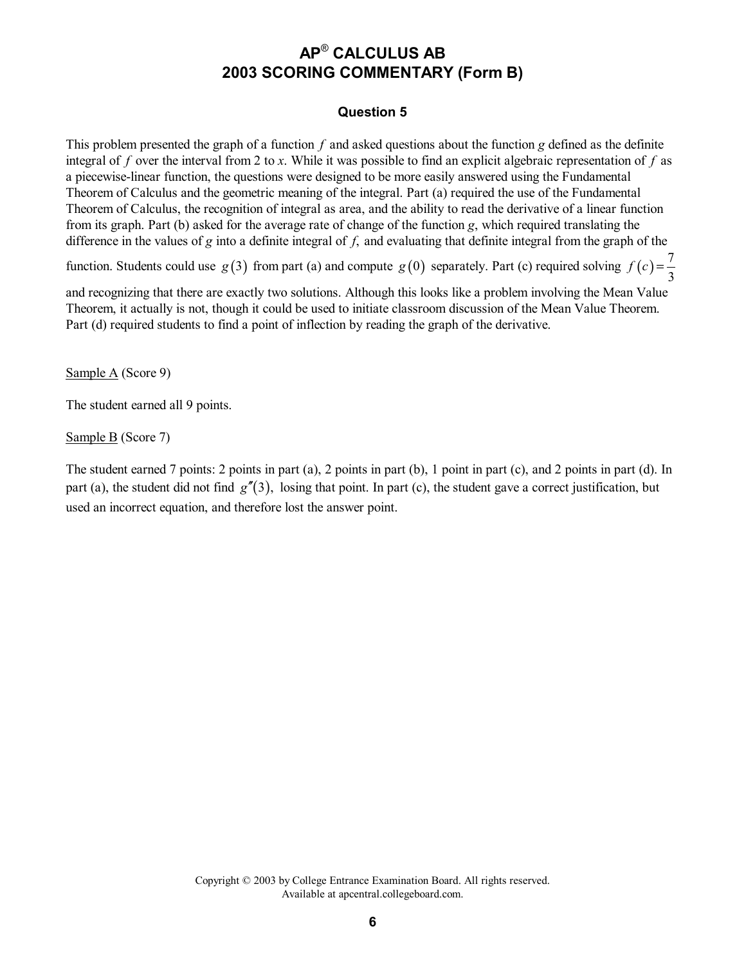### **Question 5**

This problem presented the graph of a function *f* and asked questions about the function *g* defined as the definite integral of *f* over the interval from 2 to *x*. While it was possible to find an explicit algebraic representation of *f* as a piecewise-linear function, the questions were designed to be more easily answered using the Fundamental Theorem of Calculus and the geometric meaning of the integral. Part (a) required the use of the Fundamental Theorem of Calculus, the recognition of integral as area, and the ability to read the derivative of a linear function from its graph. Part (b) asked for the average rate of change of the function *g*, which required translating the difference in the values of *g* into a definite integral of *f*, and evaluating that definite integral from the graph of the

function. Students could use  $g(3)$  from part (a) and compute  $g(0)$  separately. Part (c) required solving  $f(c) = \frac{7}{3}$ 

and recognizing that there are exactly two solutions. Although this looks like a problem involving the Mean Value Theorem, it actually is not, though it could be used to initiate classroom discussion of the Mean Value Theorem. Part (d) required students to find a point of inflection by reading the graph of the derivative.

Sample A (Score 9)

The student earned all 9 points.

Sample B (Score 7)

The student earned 7 points: 2 points in part (a), 2 points in part (b), 1 point in part (c), and 2 points in part (d). In part (a), the student did not find  $g''(3)$ , losing that point. In part (c), the student gave a correct justification, but used an incorrect equation, and therefore lost the answer point.